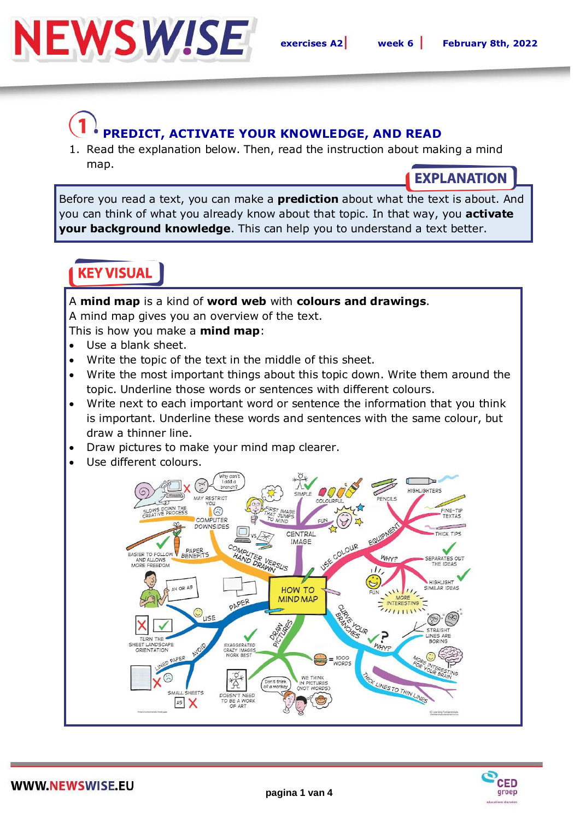

# **PREDICT, ACTIVATE YOUR KNOWLEDGE, AND READ**

1. Read the explanation below. Then, read the instruction about making a mind map.

### **EXPLANATION**

Before you read a text, you can make a **prediction** about what the text is about. And you can think of what you already know about that topic. In that way, you **activate your background knowledge**. This can help you to understand a text better.

## **KEY VISUAL**

#### A **mind map** is a kind of **word web** with **colours and drawings**.

A mind map gives you an overview of the text.

This is how you make a **mind map**:

- Use a blank sheet.
- Write the topic of the text in the middle of this sheet.
- Write the most important things about this topic down. Write them around the topic. Underline those words or sentences with different colours.
- Write next to each important word or sentence the information that you think is important. Underline these words and sentences with the same colour, but draw a thinner line.
- Draw pictures to make your mind map clearer.
- Use different colours.



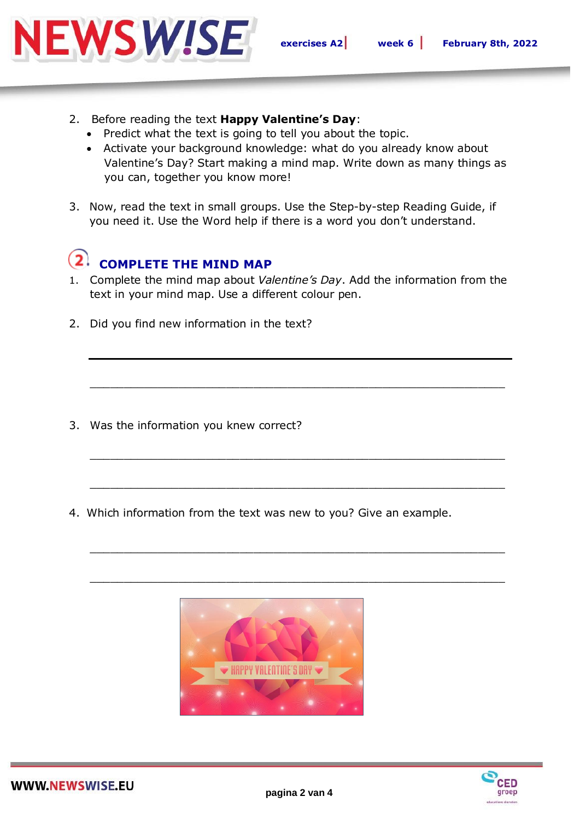

- 2. Before reading the text **Happy Valentine's Day**:
	- Predict what the text is going to tell you about the topic.
	- Activate your background knowledge: what do you already know about Valentine's Day? Start making a mind map. Write down as many things as you can, together you know more!
- 3. Now, read the text in small groups. Use the Step-by-step Reading Guide, if you need it. Use the Word help if there is a word you don't understand.

#### $\mathbf{2}^{\mathsf{r}}$ **COMPLETE THE MIND MAP**

1. Complete the mind map about *Valentine's Day*. Add the information from the text in your mind map. Use a different colour pen.

\_\_\_\_\_\_\_\_\_\_\_\_\_\_\_\_\_\_\_\_\_\_\_\_\_\_\_\_\_\_\_\_\_\_\_\_\_\_\_\_\_\_\_\_\_\_\_\_\_\_\_\_\_\_\_\_\_\_\_\_\_

\_\_\_\_\_\_\_\_\_\_\_\_\_\_\_\_\_\_\_\_\_\_\_\_\_\_\_\_\_\_\_\_\_\_\_\_\_\_\_\_\_\_\_\_\_\_\_\_\_\_\_\_\_\_\_\_\_\_\_\_\_

\_\_\_\_\_\_\_\_\_\_\_\_\_\_\_\_\_\_\_\_\_\_\_\_\_\_\_\_\_\_\_\_\_\_\_\_\_\_\_\_\_\_\_\_\_\_\_\_\_\_\_\_\_\_\_\_\_\_\_\_\_

\_\_\_\_\_\_\_\_\_\_\_\_\_\_\_\_\_\_\_\_\_\_\_\_\_\_\_\_\_\_\_\_\_\_\_\_\_\_\_\_\_\_\_\_\_\_\_\_\_\_\_\_\_\_\_\_\_\_\_\_\_

\_\_\_\_\_\_\_\_\_\_\_\_\_\_\_\_\_\_\_\_\_\_\_\_\_\_\_\_\_\_\_\_\_\_\_\_\_\_\_\_\_\_\_\_\_\_\_\_\_\_\_\_\_\_\_\_\_\_\_\_\_

2. Did you find new information in the text?

- 3. Was the information you knew correct?
- 4. Which information from the text was new to you? Give an example.



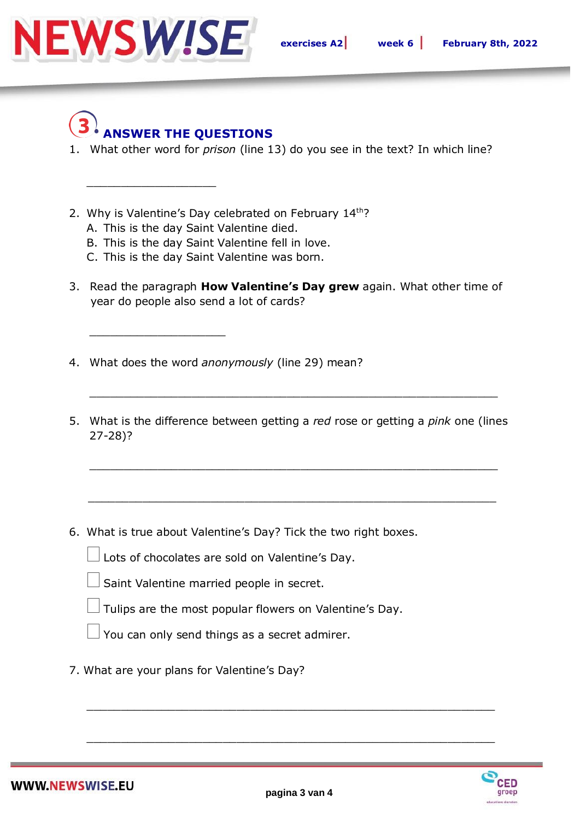

# **ANSWER THE QUESTIONS**

\_\_\_\_\_\_\_\_\_\_\_\_\_\_\_\_\_\_\_

\_\_\_\_\_\_\_\_\_\_\_\_\_\_\_\_\_\_\_\_

- 1. What other word for *prison* (line 13) do you see in the text? In which line?
- 2. Why is Valentine's Day celebrated on February 14th?
	- A. This is the day Saint Valentine died.
	- B. This is the day Saint Valentine fell in love.
	- C. This is the day Saint Valentine was born.
- 3. Read the paragraph **How Valentine's Day grew** again. What other time of year do people also send a lot of cards?
- 4. What does the word *anonymously* (line 29) mean?
- 5. What is the difference between getting a *red* rose or getting a *pink* one (lines 27-28)?

\_\_\_\_\_\_\_\_\_\_\_\_\_\_\_\_\_\_\_\_\_\_\_\_\_\_\_\_\_\_\_\_\_\_\_\_\_\_\_\_\_\_\_\_\_\_\_\_\_\_\_\_\_\_\_\_\_\_\_\_

 $\frac{1}{\sqrt{2}}$  ,  $\frac{1}{\sqrt{2}}$  ,  $\frac{1}{\sqrt{2}}$  ,  $\frac{1}{\sqrt{2}}$  ,  $\frac{1}{\sqrt{2}}$  ,  $\frac{1}{\sqrt{2}}$  ,  $\frac{1}{\sqrt{2}}$  ,  $\frac{1}{\sqrt{2}}$  ,  $\frac{1}{\sqrt{2}}$  ,  $\frac{1}{\sqrt{2}}$  ,  $\frac{1}{\sqrt{2}}$  ,  $\frac{1}{\sqrt{2}}$  ,  $\frac{1}{\sqrt{2}}$  ,  $\frac{1}{\sqrt{2}}$  ,  $\frac{1}{\sqrt{2}}$ 

\_\_\_\_\_\_\_\_\_\_\_\_\_\_\_\_\_\_\_\_\_\_\_\_\_\_\_\_\_\_\_\_\_\_\_\_\_\_\_\_\_\_\_\_\_\_\_\_\_\_\_\_\_\_\_\_\_\_\_\_

6. What is true about Valentine's Day? Tick the two right boxes.

Lots of chocolates are sold on Valentine's Day.

- Saint Valentine married people in secret.
- Tulips are the most popular flowers on Valentine's Day.

You can only send things as <sup>a</sup> secret admirer.

7. What are your plans for Valentine's Day?



\_\_\_\_\_\_\_\_\_\_\_\_\_\_\_\_\_\_\_\_\_\_\_\_\_\_\_\_\_\_\_\_\_\_\_\_\_\_\_\_\_\_\_\_\_\_\_\_\_\_\_\_\_\_\_\_\_\_\_\_

\_\_\_\_\_\_\_\_\_\_\_\_\_\_\_\_\_\_\_\_\_\_\_\_\_\_\_\_\_\_\_\_\_\_\_\_\_\_\_\_\_\_\_\_\_\_\_\_\_\_\_\_\_\_\_\_\_\_\_\_